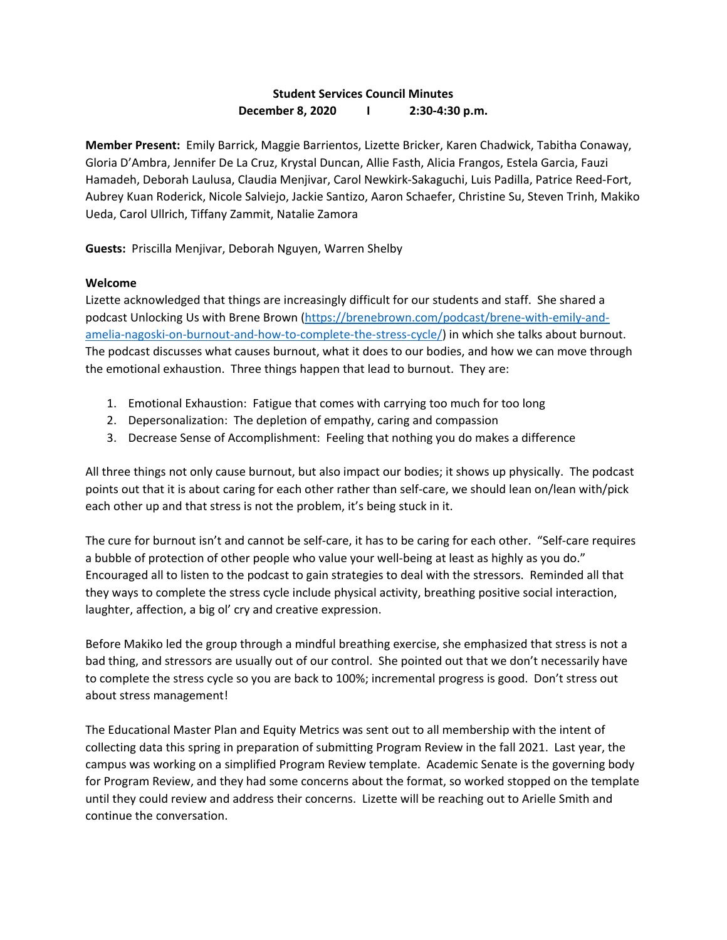## **Student Services Council Minutes December 8, 2020 I 2:30-4:30 p.m.**

**Member Present:** Emily Barrick, Maggie Barrientos, Lizette Bricker, Karen Chadwick, Tabitha Conaway, Gloria D'Ambra, Jennifer De La Cruz, Krystal Duncan, Allie Fasth, Alicia Frangos, Estela Garcia, Fauzi Hamadeh, Deborah Laulusa, Claudia Menjivar, Carol Newkirk-Sakaguchi, Luis Padilla, Patrice Reed-Fort, Aubrey Kuan Roderick, Nicole Salviejo, Jackie Santizo, Aaron Schaefer, Christine Su, Steven Trinh, Makiko Ueda, Carol Ullrich, Tiffany Zammit, Natalie Zamora

**Guests:** Priscilla Menjivar, Deborah Nguyen, Warren Shelby

## **Welcome**

Lizette acknowledged that things are increasingly difficult for our students and staff. She shared a podcast Unlocking Us with Brene Brown [\(https://brenebrown.com/podcast/brene-with-emily-and](https://brenebrown.com/podcast/brene-with-emily-and-amelia-nagoski-on-burnout-and-how-to-complete-the-stress-cycle/)[amelia-nagoski-on-burnout-and-how-to-complete-the-stress-cycle/\)](https://brenebrown.com/podcast/brene-with-emily-and-amelia-nagoski-on-burnout-and-how-to-complete-the-stress-cycle/) in which she talks about burnout. The podcast discusses what causes burnout, what it does to our bodies, and how we can move through the emotional exhaustion. Three things happen that lead to burnout. They are:

- 1. Emotional Exhaustion: Fatigue that comes with carrying too much for too long
- 2. Depersonalization: The depletion of empathy, caring and compassion
- 3. Decrease Sense of Accomplishment: Feeling that nothing you do makes a difference

All three things not only cause burnout, but also impact our bodies; it shows up physically. The podcast points out that it is about caring for each other rather than self-care, we should lean on/lean with/pick each other up and that stress is not the problem, it's being stuck in it.

The cure for burnout isn't and cannot be self-care, it has to be caring for each other. "Self-care requires a bubble of protection of other people who value your well-being at least as highly as you do." Encouraged all to listen to the podcast to gain strategies to deal with the stressors. Reminded all that they ways to complete the stress cycle include physical activity, breathing positive social interaction, laughter, affection, a big ol' cry and creative expression.

Before Makiko led the group through a mindful breathing exercise, she emphasized that stress is not a bad thing, and stressors are usually out of our control. She pointed out that we don't necessarily have to complete the stress cycle so you are back to 100%; incremental progress is good. Don't stress out about stress management!

The Educational Master Plan and Equity Metrics was sent out to all membership with the intent of collecting data this spring in preparation of submitting Program Review in the fall 2021. Last year, the campus was working on a simplified Program Review template. Academic Senate is the governing body for Program Review, and they had some concerns about the format, so worked stopped on the template until they could review and address their concerns. Lizette will be reaching out to Arielle Smith and continue the conversation.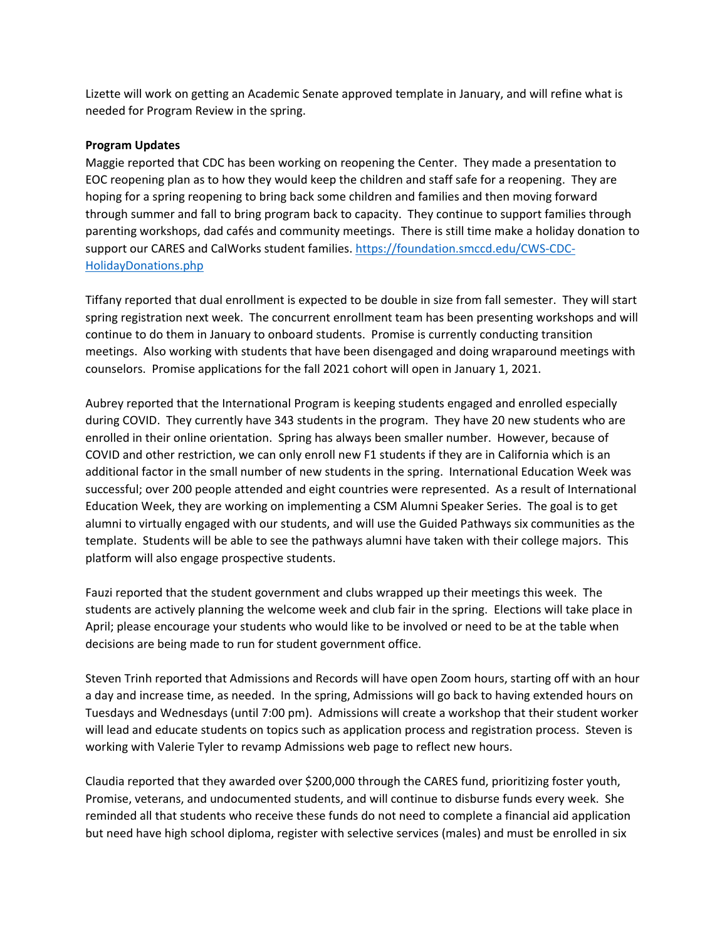Lizette will work on getting an Academic Senate approved template in January, and will refine what is needed for Program Review in the spring.

## **Program Updates**

Maggie reported that CDC has been working on reopening the Center. They made a presentation to EOC reopening plan as to how they would keep the children and staff safe for a reopening. They are hoping for a spring reopening to bring back some children and families and then moving forward through summer and fall to bring program back to capacity. They continue to support families through parenting workshops, dad cafés and community meetings. There is still time make a holiday donation to support our CARES and CalWorks student families[. https://foundation.smccd.edu/CWS-CDC-](https://foundation.smccd.edu/CWS-CDC-HolidayDonations.php)[HolidayDonations.php](https://foundation.smccd.edu/CWS-CDC-HolidayDonations.php)

Tiffany reported that dual enrollment is expected to be double in size from fall semester. They will start spring registration next week. The concurrent enrollment team has been presenting workshops and will continue to do them in January to onboard students. Promise is currently conducting transition meetings. Also working with students that have been disengaged and doing wraparound meetings with counselors. Promise applications for the fall 2021 cohort will open in January 1, 2021.

Aubrey reported that the International Program is keeping students engaged and enrolled especially during COVID. They currently have 343 students in the program. They have 20 new students who are enrolled in their online orientation. Spring has always been smaller number. However, because of COVID and other restriction, we can only enroll new F1 students if they are in California which is an additional factor in the small number of new students in the spring. International Education Week was successful; over 200 people attended and eight countries were represented. As a result of International Education Week, they are working on implementing a CSM Alumni Speaker Series. The goal is to get alumni to virtually engaged with our students, and will use the Guided Pathways six communities as the template. Students will be able to see the pathways alumni have taken with their college majors. This platform will also engage prospective students.

Fauzi reported that the student government and clubs wrapped up their meetings this week. The students are actively planning the welcome week and club fair in the spring. Elections will take place in April; please encourage your students who would like to be involved or need to be at the table when decisions are being made to run for student government office.

Steven Trinh reported that Admissions and Records will have open Zoom hours, starting off with an hour a day and increase time, as needed. In the spring, Admissions will go back to having extended hours on Tuesdays and Wednesdays (until 7:00 pm). Admissions will create a workshop that their student worker will lead and educate students on topics such as application process and registration process. Steven is working with Valerie Tyler to revamp Admissions web page to reflect new hours.

Claudia reported that they awarded over \$200,000 through the CARES fund, prioritizing foster youth, Promise, veterans, and undocumented students, and will continue to disburse funds every week. She reminded all that students who receive these funds do not need to complete a financial aid application but need have high school diploma, register with selective services (males) and must be enrolled in six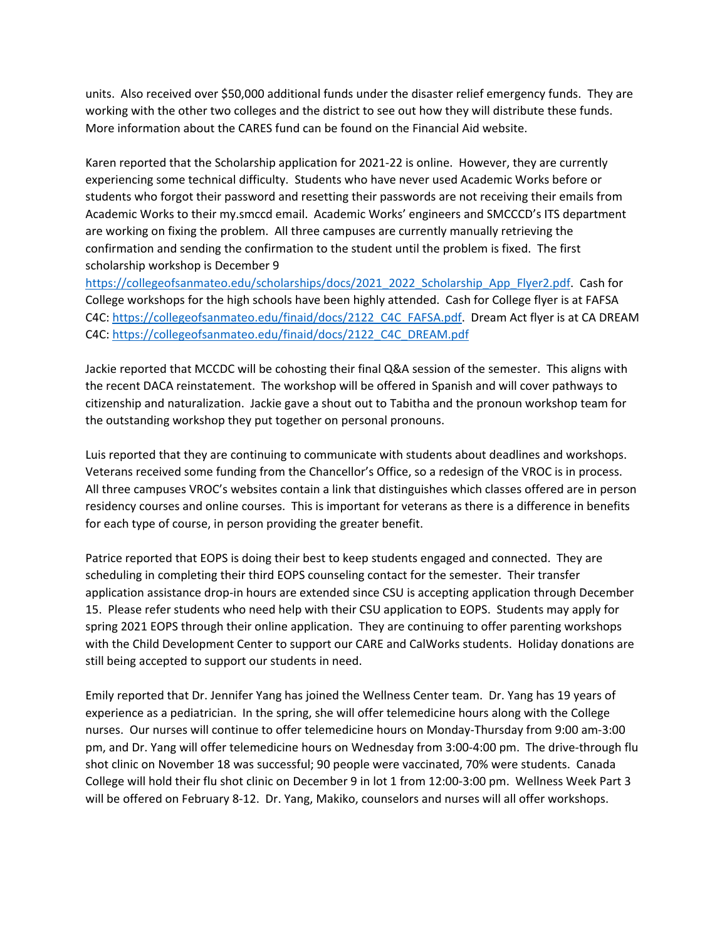units. Also received over \$50,000 additional funds under the disaster relief emergency funds. They are working with the other two colleges and the district to see out how they will distribute these funds. More information about the CARES fund can be found on the Financial Aid website.

Karen reported that the Scholarship application for 2021-22 is online. However, they are currently experiencing some technical difficulty. Students who have never used Academic Works before or students who forgot their password and resetting their passwords are not receiving their emails from Academic Works to their my.smccd email. Academic Works' engineers and SMCCCD's ITS department are working on fixing the problem. All three campuses are currently manually retrieving the confirmation and sending the confirmation to the student until the problem is fixed. The first scholarship workshop is December 9

[https://collegeofsanmateo.edu/scholarships/docs/2021\\_2022\\_Scholarship\\_App\\_Flyer2.pdf.](https://collegeofsanmateo.edu/scholarships/docs/2021_2022_Scholarship_App_Flyer2.pdf) Cash for College workshops for the high schools have been highly attended. Cash for College flyer is at FAFSA C4C[: https://collegeofsanmateo.edu/finaid/docs/2122\\_C4C\\_FAFSA.pdf.](https://collegeofsanmateo.edu/finaid/docs/2122_C4C_FAFSA.pdf) Dream Act flyer is at CA DREAM C4C[: https://collegeofsanmateo.edu/finaid/docs/2122\\_C4C\\_DREAM.pdf](https://collegeofsanmateo.edu/finaid/docs/2122_C4C_DREAM.pdf)

Jackie reported that MCCDC will be cohosting their final Q&A session of the semester. This aligns with the recent DACA reinstatement. The workshop will be offered in Spanish and will cover pathways to citizenship and naturalization. Jackie gave a shout out to Tabitha and the pronoun workshop team for the outstanding workshop they put together on personal pronouns.

Luis reported that they are continuing to communicate with students about deadlines and workshops. Veterans received some funding from the Chancellor's Office, so a redesign of the VROC is in process. All three campuses VROC's websites contain a link that distinguishes which classes offered are in person residency courses and online courses. This is important for veterans as there is a difference in benefits for each type of course, in person providing the greater benefit.

Patrice reported that EOPS is doing their best to keep students engaged and connected. They are scheduling in completing their third EOPS counseling contact for the semester. Their transfer application assistance drop-in hours are extended since CSU is accepting application through December 15. Please refer students who need help with their CSU application to EOPS. Students may apply for spring 2021 EOPS through their online application. They are continuing to offer parenting workshops with the Child Development Center to support our CARE and CalWorks students. Holiday donations are still being accepted to support our students in need.

Emily reported that Dr. Jennifer Yang has joined the Wellness Center team. Dr. Yang has 19 years of experience as a pediatrician. In the spring, she will offer telemedicine hours along with the College nurses. Our nurses will continue to offer telemedicine hours on Monday-Thursday from 9:00 am-3:00 pm, and Dr. Yang will offer telemedicine hours on Wednesday from 3:00-4:00 pm. The drive-through flu shot clinic on November 18 was successful; 90 people were vaccinated, 70% were students. Canada College will hold their flu shot clinic on December 9 in lot 1 from 12:00-3:00 pm. Wellness Week Part 3 will be offered on February 8-12. Dr. Yang, Makiko, counselors and nurses will all offer workshops.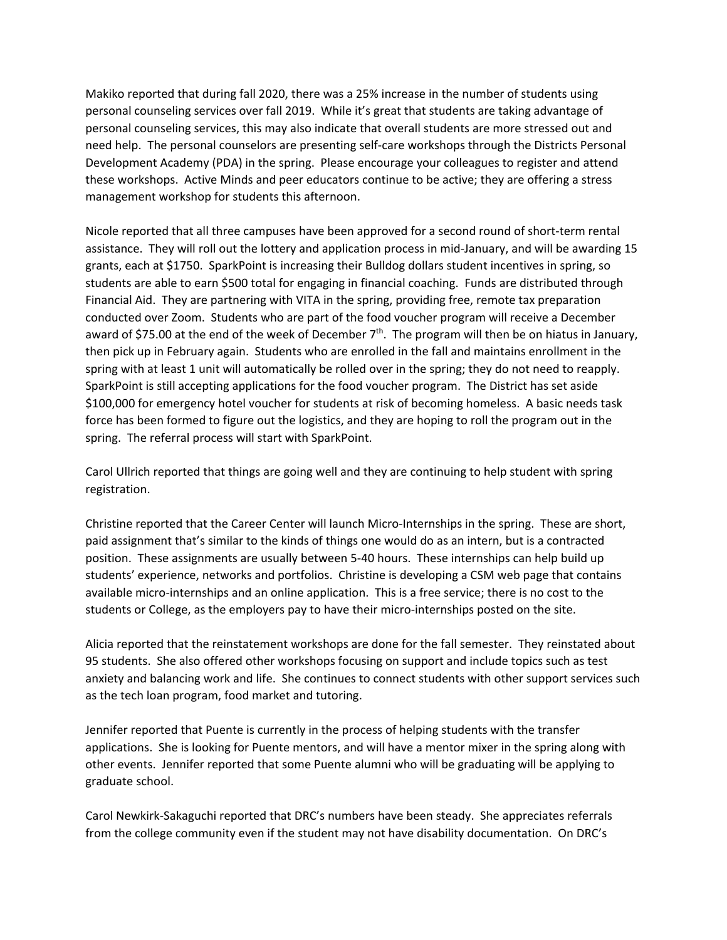Makiko reported that during fall 2020, there was a 25% increase in the number of students using personal counseling services over fall 2019. While it's great that students are taking advantage of personal counseling services, this may also indicate that overall students are more stressed out and need help. The personal counselors are presenting self-care workshops through the Districts Personal Development Academy (PDA) in the spring. Please encourage your colleagues to register and attend these workshops. Active Minds and peer educators continue to be active; they are offering a stress management workshop for students this afternoon.

Nicole reported that all three campuses have been approved for a second round of short-term rental assistance. They will roll out the lottery and application process in mid-January, and will be awarding 15 grants, each at \$1750. SparkPoint is increasing their Bulldog dollars student incentives in spring, so students are able to earn \$500 total for engaging in financial coaching. Funds are distributed through Financial Aid. They are partnering with VITA in the spring, providing free, remote tax preparation conducted over Zoom. Students who are part of the food voucher program will receive a December award of \$75.00 at the end of the week of December  $7<sup>th</sup>$ . The program will then be on hiatus in January, then pick up in February again. Students who are enrolled in the fall and maintains enrollment in the spring with at least 1 unit will automatically be rolled over in the spring; they do not need to reapply. SparkPoint is still accepting applications for the food voucher program. The District has set aside \$100,000 for emergency hotel voucher for students at risk of becoming homeless. A basic needs task force has been formed to figure out the logistics, and they are hoping to roll the program out in the spring. The referral process will start with SparkPoint.

Carol Ullrich reported that things are going well and they are continuing to help student with spring registration.

Christine reported that the Career Center will launch Micro-Internships in the spring. These are short, paid assignment that's similar to the kinds of things one would do as an intern, but is a contracted position. These assignments are usually between 5-40 hours. These internships can help build up students' experience, networks and portfolios. Christine is developing a CSM web page that contains available micro-internships and an online application. This is a free service; there is no cost to the students or College, as the employers pay to have their micro-internships posted on the site.

Alicia reported that the reinstatement workshops are done for the fall semester. They reinstated about 95 students. She also offered other workshops focusing on support and include topics such as test anxiety and balancing work and life. She continues to connect students with other support services such as the tech loan program, food market and tutoring.

Jennifer reported that Puente is currently in the process of helping students with the transfer applications. She is looking for Puente mentors, and will have a mentor mixer in the spring along with other events. Jennifer reported that some Puente alumni who will be graduating will be applying to graduate school.

Carol Newkirk-Sakaguchi reported that DRC's numbers have been steady. She appreciates referrals from the college community even if the student may not have disability documentation. On DRC's